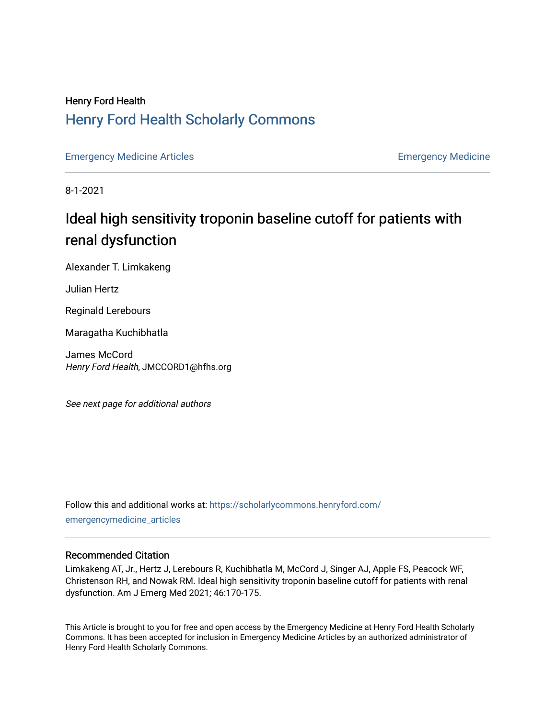## Henry Ford Health [Henry Ford Health Scholarly Commons](https://scholarlycommons.henryford.com/)

[Emergency Medicine Articles](https://scholarlycommons.henryford.com/emergencymedicine_articles) **Emergency Medicine** 

8-1-2021

# Ideal high sensitivity troponin baseline cutoff for patients with renal dysfunction

Alexander T. Limkakeng

Julian Hertz

Reginald Lerebours

Maragatha Kuchibhatla

James McCord Henry Ford Health, JMCCORD1@hfhs.org

See next page for additional authors

Follow this and additional works at: [https://scholarlycommons.henryford.com/](https://scholarlycommons.henryford.com/emergencymedicine_articles?utm_source=scholarlycommons.henryford.com%2Femergencymedicine_articles%2F238&utm_medium=PDF&utm_campaign=PDFCoverPages) [emergencymedicine\\_articles](https://scholarlycommons.henryford.com/emergencymedicine_articles?utm_source=scholarlycommons.henryford.com%2Femergencymedicine_articles%2F238&utm_medium=PDF&utm_campaign=PDFCoverPages) 

### Recommended Citation

Limkakeng AT, Jr., Hertz J, Lerebours R, Kuchibhatla M, McCord J, Singer AJ, Apple FS, Peacock WF, Christenson RH, and Nowak RM. Ideal high sensitivity troponin baseline cutoff for patients with renal dysfunction. Am J Emerg Med 2021; 46:170-175.

This Article is brought to you for free and open access by the Emergency Medicine at Henry Ford Health Scholarly Commons. It has been accepted for inclusion in Emergency Medicine Articles by an authorized administrator of Henry Ford Health Scholarly Commons.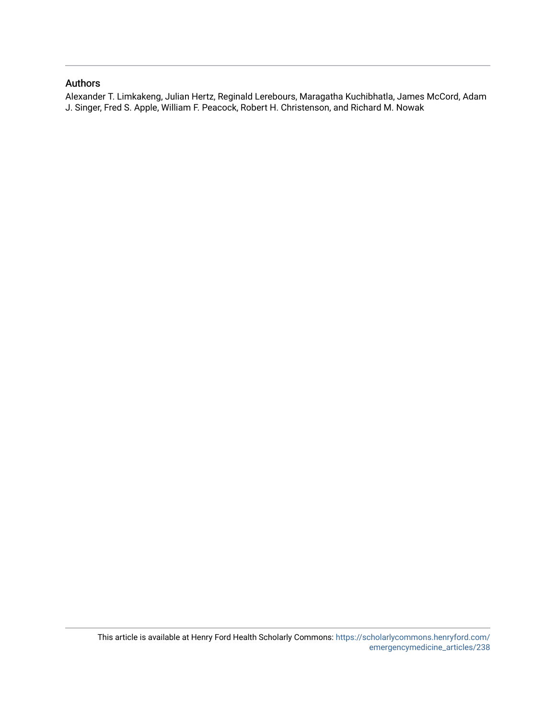### Authors

Alexander T. Limkakeng, Julian Hertz, Reginald Lerebours, Maragatha Kuchibhatla, James McCord, Adam J. Singer, Fred S. Apple, William F. Peacock, Robert H. Christenson, and Richard M. Nowak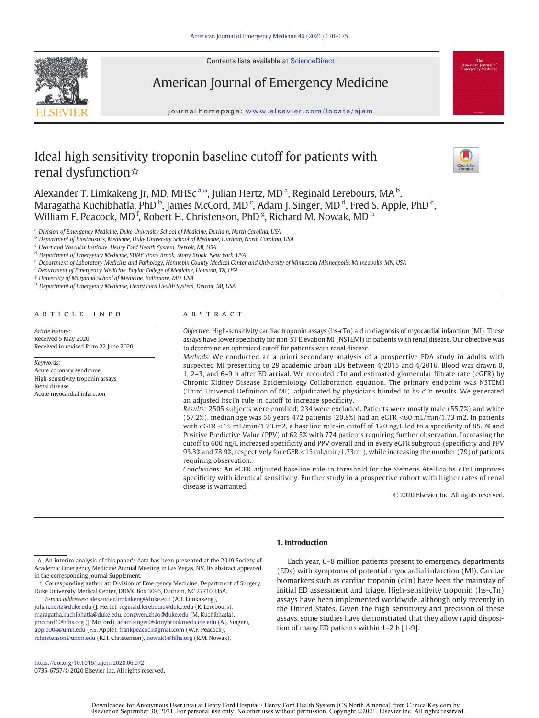

Contents lists available at ScienceDirect

### American Journal of Emergency Medicine

journal homepage: <www.elsevier.com/locate/ajem>

### Ideal high sensitivity troponin baseline cutoff for patients with renal dysfunction☆



Alexander T. Limkakeng Jr, MD, MHSc<sup>a,\*</sup>, Julian Hertz, MD<sup>a</sup>, Reginald Lerebours, MA<sup>b</sup>, Maragatha Kuchibhatla, PhD  $^{\rm b}$ , James McCord, MD  $^{\rm c}$ , Adam J. Singer, MD  $^{\rm d}$ , Fred S. Apple, PhD  $^{\rm e}$ , William F. Peacock, MD<sup>f</sup>, Robert H. Christenson, PhD<sup>g</sup>, Richard M. Nowak, MD  $^{\rm h}$ 

<sup>a</sup> Division of Emergency Medicine, Duke University School of Medicine, Durham, North Carolina, USA

<sup>b</sup> Department of Biostatistics, Medicine, Duke University School of Medicine, Durham, North Carolina, USA

<sup>c</sup> Heart and Vascular Institute, Henry Ford Health System, Detroit, MI, USA

<sup>d</sup> Department of Emergency Medicine, SUNY Stony Brook, Stony Brook, New York, USA

<sup>e</sup> Department of Laboratory Medicine and Pathology, Hennepin County Medical Center and University of Minnesota Minneapolis, Minneapolis, MN, USA

<sup>f</sup> Department of Emergency Medicine, Baylor College of Medicine, Houston, TX, USA

<sup>g</sup> University of Maryland School of Medicine, Baltimore, MD, USA

h Department of Emergency Medicine, Henry Ford Health System, Detroit, MI, USA

#### article info abstract

Article history: Received 5 May 2020 Received in revised form 22 June 2020

Keywords: Acute coronary syndrome High-sensitivity troponin assays Renal disease Acute myocardial infarction

Objective: High-sensitivity cardiac troponin assays (hs-cTn) aid in diagnosis of myocardial infarction (MI). These assays have lower specificity for non-ST Elevation MI (NSTEMI) in patients with renal disease. Our objective was to determine an optimized cutoff for patients with renal disease.

Methods: We conducted an a priori secondary analysis of a prospective FDA study in adults with suspected MI presenting to 29 academic urban EDs between 4/2015 and 4/2016. Blood was drawn 0, 1, 2–3, and 6–9 h after ED arrival. We recorded cTn and estimated glomerular filtrate rate (eGFR) by Chronic Kidney Disease Epidemiology Collaboration equation. The primary endpoint was NSTEMI (Third Universal Definition of MI), adjudicated by physicians blinded to hs-cTn results. We generated an adjusted hscTn rule-in cutoff to increase specificity.

Results: 2505 subjects were enrolled; 234 were excluded. Patients were mostly male (55.7%) and white (57.2%), median age was 56 years 472 patients [20.8%] had an eGFR <60 mL/min/1.73 m2. In patients with eGFR <15 mL/min/1.73 m2, a baseline rule-in cutoff of 120 ng/L led to a specificity of 85.0% and Positive Predictive Value (PPV) of 62.5% with 774 patients requiring further observation. Increasing the cutoff to 600 ng/L increased specificity and PPV overall and in every eGFR subgroup (specificity and PPV 93.3% and 78.9%, respectively for eGFR <15 mL/min/1.73m<sup>2</sup>), while increasing the number (79) of patients requiring observation.

Conclusions: An eGFR-adjusted baseline rule-in threshold for the Siemens Atellica hs-cTnI improves specificity with identical sensitivity. Further study in a prospective cohort with higher rates of renal disease is warranted.

© 2020 Elsevier Inc. All rights reserved.

#### 1. Introduction

⁎ Corresponding author at: Division of Emergency Medicine, Department of Surgery, Duke University Medical Center, DUMC Box 3096, Durham, NC 27710, USA.

E-mail addresses: [alexander.limkakeng@duke.edu](mailto:alexander.limkakeng@duke.edu) (A.T. Limkakeng), [julian.hertz@duke.edu](mailto:julian.hertz@duke.edu) (J. Hertz), [reginald.lerebours@duke.edu](mailto:reginald.lerebours@duke.edu) (R. Lerebours), [maragatha.kuchibhatla@duke.edu,](mailto:maragatha.kuchibhatla@duke.edu) [congwen.zhao@duke.edu](mailto:congwen.zhao@duke.edu) (M. Kuchibhatla), [jmccord1@hfhs.org](mailto:jmccord1@hfhs.org) (J. McCord), [adam.singer@stonybrookmedicine.edu](mailto:adam.singer@stonybrookmedicine.edu) (A.J. Singer), [apple004@umn.edu](mailto:apple004@umn.edu) (F.S. Apple), [frankpeacock@gmail.com](mailto:frankpeacock@gmail.com) (W.F. Peacock), [rchristenson@umm.edu](mailto:rchristenson@umm.edu) (R.H. Christenson), [nowak1@hfhs.org](mailto:nowak1@hfhs.org) (R.M. Nowak).

<https://doi.org/10.1016/j.ajem.2020.06.072> 0735-6757/© 2020 Elsevier Inc. All rights reserved.

Each year, 6–8 million patients present to emergency departments (EDs) with symptoms of potential myocardial infarction (MI). Cardiac biomarkers such as cardiac troponin (cTn) have been the mainstay of initial ED assessment and triage. High-sensitivity troponin (hs-cTn) assays have been implemented worldwide, although only recently in the United States. Given the high sensitivity and precision of these assays, some studies have demonstrated that they allow rapid disposition of many ED patients within 1–2h[[1-9\]](#page-6-0).

 $\dot{\varphi}$  An interim analysis of this paper's data has been presented at the 2019 Society of Academic Emergency Medicine Annual Meeting in Las Vegas, NV. Its abstract appeared in the corresponding journal Supplement.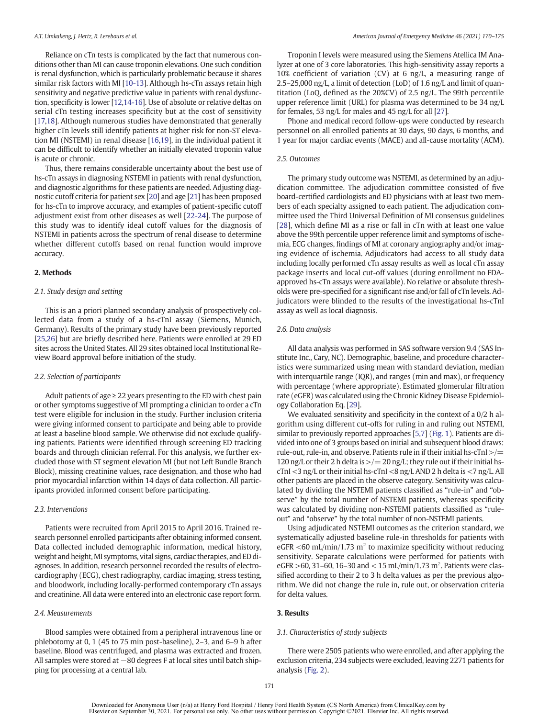Reliance on cTn tests is complicated by the fact that numerous conditions other than MI can cause troponin elevations. One such condition is renal dysfunction, which is particularly problematic because it shares similar risk factors with MI [\[10-13\]](#page-7-0). Although hs-cTn assays retain high sensitivity and negative predictive value in patients with renal dysfunction, specificity is lower [[12,14-16](#page-7-0)]. Use of absolute or relative deltas on serial cTn testing increases specificity but at the cost of sensitivity [[17,18\]](#page-7-0). Although numerous studies have demonstrated that generally higher cTn levels still identify patients at higher risk for non-ST elevation MI (NSTEMI) in renal disease [\[16,19\]](#page-7-0), in the individual patient it can be difficult to identify whether an initially elevated troponin value is acute or chronic.

Thus, there remains considerable uncertainty about the best use of hs-cTn assays in diagnosing NSTEMI in patients with renal dysfunction, and diagnostic algorithms for these patients are needed. Adjusting diagnostic cutoff criteria for patient sex [[20\]](#page-7-0) and age [[21\]](#page-7-0) has been proposed for hs-cTn to improve accuracy, and examples of patient-specific cutoff adjustment exist from other diseases as well [\[22-24\]](#page-7-0). The purpose of this study was to identify ideal cutoff values for the diagnosis of NSTEMI in patients across the spectrum of renal disease to determine whether different cutoffs based on renal function would improve accuracy.

#### 2. Methods

#### 2.1. Study design and setting

This is an a priori planned secondary analysis of prospectively collected data from a study of a hs-cTnI assay (Siemens, Munich, Germany). Results of the primary study have been previously reported [[25,26\]](#page-7-0) but are briefly described here. Patients were enrolled at 29 ED sites across the United States. All 29 sites obtained local Institutional Review Board approval before initiation of the study.

#### 2.2. Selection of participants

Adult patients of age  $\geq$  22 years presenting to the ED with chest pain or other symptoms suggestive of MI prompting a clinician to order a cTn test were eligible for inclusion in the study. Further inclusion criteria were giving informed consent to participate and being able to provide at least a baseline blood sample. We otherwise did not exclude qualifying patients. Patients were identified through screening ED tracking boards and through clinician referral. For this analysis, we further excluded those with ST segment elevation MI (but not Left Bundle Branch Block), missing creatinine values, race designation, and those who had prior myocardial infarction within 14 days of data collection. All participants provided informed consent before participating.

#### 2.3. Interventions

Patients were recruited from April 2015 to April 2016. Trained research personnel enrolled participants after obtaining informed consent. Data collected included demographic information, medical history, weight and height, MI symptoms, vital signs, cardiac therapies, and ED diagnoses. In addition, research personnel recorded the results of electrocardiography (ECG), chest radiography, cardiac imaging, stress testing, and bloodwork, including locally-performed contemporary cTn assays and creatinine. All data were entered into an electronic case report form.

#### 2.4. Measurements

Blood samples were obtained from a peripheral intravenous line or phlebotomy at 0, 1 (45 to 75 min post-baseline), 2–3, and 6–9 h after baseline. Blood was centrifuged, and plasma was extracted and frozen. All samples were stored at −80 degrees F at local sites until batch shipping for processing at a central lab.

Troponin I levels were measured using the Siemens Atellica IM Analyzer at one of 3 core laboratories. This high-sensitivity assay reports a 10% coefficient of variation (CV) at 6 ng/L, a measuring range of 2.5–25,000 ng/L, a limit of detection (LoD) of 1.6 ng/L and limit of quantitation (LoQ, defined as the 20%CV) of 2.5 ng/L. The 99th percentile upper reference limit (URL) for plasma was determined to be 34 ng/L for females, 53 ng/L for males and 45 ng/L for all [[27\]](#page-7-0).

Phone and medical record follow-ups were conducted by research personnel on all enrolled patients at 30 days, 90 days, 6 months, and 1 year for major cardiac events (MACE) and all-cause mortality (ACM).

#### 2.5. Outcomes

The primary study outcome was NSTEMI, as determined by an adjudication committee. The adjudication committee consisted of five board-certified cardiologists and ED physicians with at least two members of each specialty assigned to each patient. The adjudication committee used the Third Universal Definition of MI consensus guidelines [[28](#page-7-0)], which define MI as a rise or fall in cTn with at least one value above the 99th percentile upper reference limit and symptoms of ischemia, ECG changes, findings of MI at coronary angiography and/or imaging evidence of ischemia. Adjudicators had access to all study data including locally performed cTn assay results as well as local cTn assay package inserts and local cut-off values (during enrollment no FDAapproved hs-cTn assays were available). No relative or absolute thresholds were pre-specified for a significant rise and/or fall of cTn levels. Adjudicators were blinded to the results of the investigational hs-cTnI assay as well as local diagnosis.

#### 2.6. Data analysis

All data analysis was performed in SAS software version 9.4 (SAS Institute Inc., Cary, NC). Demographic, baseline, and procedure characteristics were summarized using mean with standard deviation, median with interquartile range (IQR), and ranges (min and max), or frequency with percentage (where appropriate). Estimated glomerular filtration rate (eGFR) was calculated using the Chronic Kidney Disease Epidemiology Collaboration Eq. [\[29\]](#page-7-0).

We evaluated sensitivity and specificity in the context of a 0/2 h algorithm using different cut-offs for ruling in and ruling out NSTEMI, similar to previously reported approaches [[5,7\]](#page-7-0) ([Fig. 1](#page-4-0)). Patients are divided into one of 3 groups based on initial and subsequent blood draws: rule-out, rule-in, and observe. Patients rule in if their initial hs-cTnI >/= 120 ng/L or their 2 h delta is  $\geq$   $=$  20 ng/L; they rule out if their initial hscTnI <3 ng/L or their initial hs-cTnI <8 ng/L AND 2 h delta is <7 ng/L. All other patients are placed in the observe category. Sensitivity was calculated by dividing the NSTEMI patients classified as "rule-in" and "observe" by the total number of NSTEMI patients, whereas specificity was calculated by dividing non-NSTEMI patients classified as "ruleout" and "observe" by the total number of non-NSTEMI patients.

Using adjudicated NSTEMI outcomes as the criterion standard, we systematically adjusted baseline rule-in thresholds for patients with eGFR  $\leq$  60 mL/min/1.73 m<sup>2</sup> to maximize specificity without reducing sensitivity. Separate calculations were performed for patients with eGFR > 60, 31 - 60, 16 - 30 and < 15 mL/min/1.73 m<sup>2</sup>. Patients were classified according to their 2 to 3 h delta values as per the previous algorithm. We did not change the rule in, rule out, or observation criteria for delta values.

#### 3. Results

#### 3.1. Characteristics of study subjects

There were 2505 patients who were enrolled, and after applying the exclusion criteria, 234 subjects were excluded, leaving 2271 patients for analysis ([Fig. 2](#page-4-0)).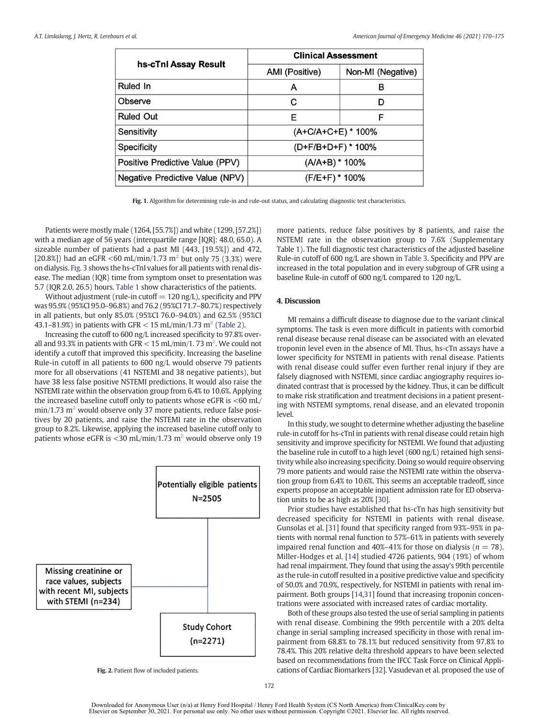<span id="page-4-0"></span>

|                                 | <b>Clinical Assessment</b> |                    |  |  |
|---------------------------------|----------------------------|--------------------|--|--|
| hs-cTnl Assay Result            | AMI (Positive)             | Non-MI (Negative)  |  |  |
| Ruled In                        | A                          | в                  |  |  |
| Observe                         | С                          | D                  |  |  |
| <b>Ruled Out</b>                | Е                          | F                  |  |  |
| Sensitivity                     |                            | (A+C/A+C+E) * 100% |  |  |
| Specificity                     | (D+F/B+D+F) * 100%         |                    |  |  |
| Positive Predictive Value (PPV) | (A/A+B) * 100%             |                    |  |  |
| Negative Predictive Value (NPV) | (F/E+F) * 100%             |                    |  |  |

Fig. 1. Algorithm for determining rule-in and rule-out status, and calculating diagnostic test characteristics.

Patients were mostly male (1264, [55.7%]) and white (1299, [57.2%]) with a median age of 56 years (interquartile range [IQR]: 48.0, 65.0). A sizeable number of patients had a past MI (443, [19.5%]) and 472, [20.8%]) had an eGFR <60 mL/min/1.73 m<sup>2</sup> but only 75 (3.3%) were on dialysis. [Fig. 3](#page-5-0) shows the hs-cTnI values for all patients with renal disease. The median (IQR) time from symptom onset to presentation was 5.7 (IQR 2.0, 26.5) hours. [Table 1](#page-5-0) show characteristics of the patients.

Without adjustment (rule-in cutoff  $= 120$  ng/L), specificity and PPV was 95.9% (95%CI 95.0–96.8%) and 76.2 (95%CI 71.7–80.7%) respectively in all patients, but only 85.0% (95%CI 76.0–94.0%) and 62.5% (95%CI 43.1–81.9%) in patients with GFR < 15 mL/min/1.73 m<sup>2</sup> [\(Table 2\)](#page-6-0).

Increasing the cutoff to 600 ng/L increased specificity to 97.8% overall and 93.3% in patients with GFR  $<$  15 mL/min/1. 73 m<sup>2</sup>. We could not identify a cutoff that improved this specificity. Increasing the baseline Rule-in cutoff in all patients to 600 ng/L would observe 79 patients more for all observations (41 NSTEMI and 38 negative patients), but have 38 less false positive NSTEMI predictions. It would also raise the NSTEMI rate within the observation group from 6.4% to 10.6%. Applying the increased baseline cutoff only to patients whose eGFR is  $<60$  mL/  $min/1.73$  m<sup>2</sup> would observe only 37 more patients, reduce false positives by 20 patients, and raise the NSTEMI rate in the observation group to 8.2%. Likewise, applying the increased baseline cutoff only to patients whose eGFR is <30 mL/min/1.73  $m^2$  would observe only 19



Fig. 2. Patient flow of included patients.

more patients, reduce false positives by 8 patients, and raise the NSTEMI rate in the observation group to 7.6% (Supplementary Table 1). The full diagnostic test characteristics of the adjusted baseline Rule-in cutoff of 600 ng/L are shown in [Table 3](#page-6-0). Specificity and PPV are increased in the total population and in every subgroup of GFR using a baseline Rule-in cutoff of 600 ng/L compared to 120 ng/L.

#### 4. Discussion

MI remains a difficult disease to diagnose due to the variant clinical symptoms. The task is even more difficult in patients with comorbid renal disease because renal disease can be associated with an elevated troponin level even in the absence of MI. Thus, hs-cTn assays have a lower specificity for NSTEMI in patients with renal disease. Patients with renal disease could suffer even further renal injury if they are falsely diagnosed with NSTEMI, since cardiac angiography requires iodinated contrast that is processed by the kidney. Thus, it can be difficult to make risk stratification and treatment decisions in a patient presenting with NSTEMI symptoms, renal disease, and an elevated troponin level.

In this study, we sought to determine whether adjusting the baseline rule-in cutoff for hs-cTnI in patients with renal disease could retain high sensitivity and improve specificity for NSTEMI. We found that adjusting the baseline rule in cutoff to a high level (600 ng/L) retained high sensitivity while also increasing specificity. Doing so would require observing 79 more patients and would raise the NSTEMI rate within the observation group from 6.4% to 10.6%. This seems an acceptable tradeoff, since experts propose an acceptable inpatient admission rate for ED observation units to be as high as 20% [[30\]](#page-7-0).

Prior studies have established that hs-cTn has high sensitivity but decreased specificity for NSTEMI in patients with renal disease. Gunsolas et al. [[31\]](#page-7-0) found that specificity ranged from 93%–95% in patients with normal renal function to 57%–61% in patients with severely impaired renal function and 40%–41% for those on dialysis ( $n = 78$ ). Miller-Hodges et al. [[14\]](#page-7-0) studied 4726 patients, 904 (19%) of whom had renal impairment. They found that using the assay's 99th percentile as the rule-in cutoff resulted in a positive predictive value and specificity of 50.0% and 70.9%, respectively, for NSTEMI in patients with renal impairment. Both groups [[14,31](#page-7-0)] found that increasing troponin concentrations were associated with increased rates of cardiac mortality.

Both of these groups also tested the use of serial sampling in patients with renal disease. Combining the 99th percentile with a 20% delta change in serial sampling increased specificity in those with renal impairment from 68.8% to 78.1% but reduced sensitivity from 97.8% to 78.4%. This 20% relative delta threshold appears to have been selected based on recommendations from the IFCC Task Force on Clinical Applications of Cardiac Biomarkers [\[32](#page-7-0)]. Vasudevan et al. proposed the use of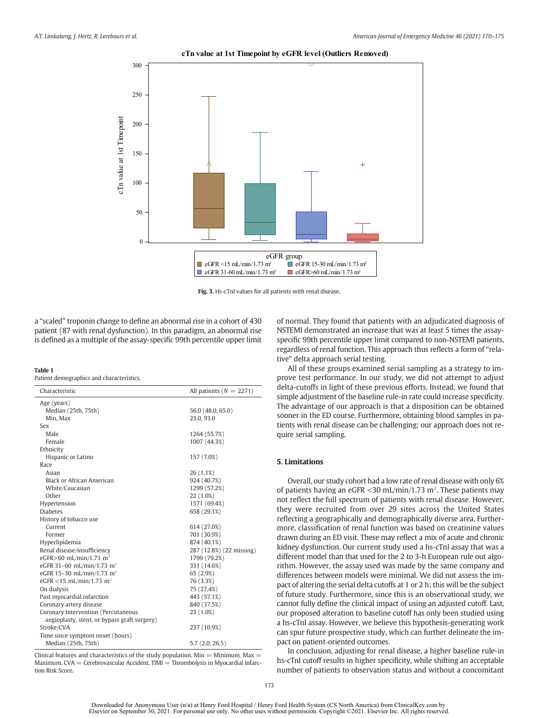<span id="page-5-0"></span>

#### **cTn value at 1st Timepoint by eGFR level (Outliers Removed)**

Fig. 3. Hs-cTnI values for all patients with renal disease.

a "scaled" troponin change to define an abnormal rise in a cohort of 430 patient (87 with renal dysfunction). In this paradigm, an abnormal rise is defined as a multiple of the assay-specific 99th percentile upper limit

#### Table 1

Patient demographics and characteristics.

| Characteristic                               | All patients ( $N = 2271$ ) |
|----------------------------------------------|-----------------------------|
| Age (years)                                  |                             |
| Median (25th, 75th)                          | 56.0 (48.0, 65.0)           |
| Min. Max                                     | 23.0.93.0                   |
| Sex                                          |                             |
| Male                                         | 1264 (55.7%)                |
| Female                                       | 1007 (44.3%)                |
| Ethnicity                                    |                             |
| Hispanic or Latino                           | 157 (7.0%)                  |
| Race                                         |                             |
| Asian                                        | 26 (1.1%)                   |
| Black or African American                    | 924 (40.7%)                 |
| White/Caucasian                              | 1299 (57.2%)                |
| Other                                        | 22 (1.0%)                   |
| Hypertension                                 | 1571 (69.4%)                |
| <b>Diabetes</b>                              | 658 (29.1%)                 |
| History of tobacco use                       |                             |
| Current                                      | 614 (27.0%)                 |
| Former                                       | 701 (30.9%)                 |
| Hyperlipidemia                               | 874 (40.1%)                 |
| Renal disease/insufficiency                  | 287 (12.8%) (22 missing)    |
| eGFR>60 mL/min/1.73 m <sup>2</sup>           | 1799 (79.2%)                |
| eGFR 31-60 mL/min/1.73 m <sup>2</sup>        | 331 (14.6%)                 |
| eGFR 15-30 mL/min/1.73 m <sup>2</sup>        | 65 (2.9%)                   |
| eGFR <15 mL/min/1.73 m <sup>2</sup>          | 76 (3.3%)                   |
| On dialysis                                  | 75 (27.4%)                  |
| Past myocardial infarction                   | 443 (57.1%)                 |
| Coronary artery disease                      | 840 (37.5%)                 |
| Coronary Intervention (Percutaneous          | 23 (1.0%)                   |
| angioplasty, stent, or bypass graft surgery) |                             |
| Stroke/CVA                                   | 237 (10.9%)                 |
| Time since symptom onset (hours)             |                             |
| Median (25th, 75th)                          | 5.7(2.0, 26.5)              |

Clinical features and characteristics of the study population. Min = Minimum. Max = Maximum. CVA = Cerebrovascular Accident. TIMI = Thrombolysis in Myocardial Infarction Risk Score.

of normal. They found that patients with an adjudicated diagnosis of NSTEMI demonstrated an increase that was at least 5 times the assayspecific 99th percentile upper limit compared to non-NSTEMI patients, regardless of renal function. This approach thus reflects a form of "relative" delta approach serial testing.

All of these groups examined serial sampling as a strategy to improve test performance. In our study, we did not attempt to adjust delta-cutoffs in light of these previous efforts. Instead, we found that simple adjustment of the baseline rule-in rate could increase specificity. The advantage of our approach is that a disposition can be obtained sooner in the ED course. Furthermore, obtaining blood samples in patients with renal disease can be challenging; our approach does not require serial sampling.

#### 5. Limitations

Overall, our study cohort had a low rate of renal disease with only 6% of patients having an eGFR < 30 mL/min/1.73 m<sup>2</sup>. These patients may not reflect the full spectrum of patients with renal disease. However, they were recruited from over 29 sites across the United States reflecting a geographically and demographically diverse area. Furthermore, classification of renal function was based on creatinine values drawn during an ED visit. These may reflect a mix of acute and chronic kidney dysfunction. Our current study used a hs-cTnI assay that was a different model than that used for the 2 to 3-h European rule out algorithm. However, the assay used was made by the same company and differences between models were minimal. We did not assess the impact of altering the serial delta cutoffs at 1 or 2 h; this will be the subject of future study. Furthermore, since this is an observational study, we cannot fully define the clinical impact of using an adjusted cutoff. Last, our proposed alteration to baseline cutoff has only been studied using a hs-cTnI assay. However, we believe this hypothesis-generating work can spur future prospective study, which can further delineate the impact on patient-oriented outcomes.

In conclusion, adjusting for renal disease, a higher baseline rule-in hs-cTnI cutoff results in higher specificity, while shifting an acceptable number of patients to observation status and without a concomitant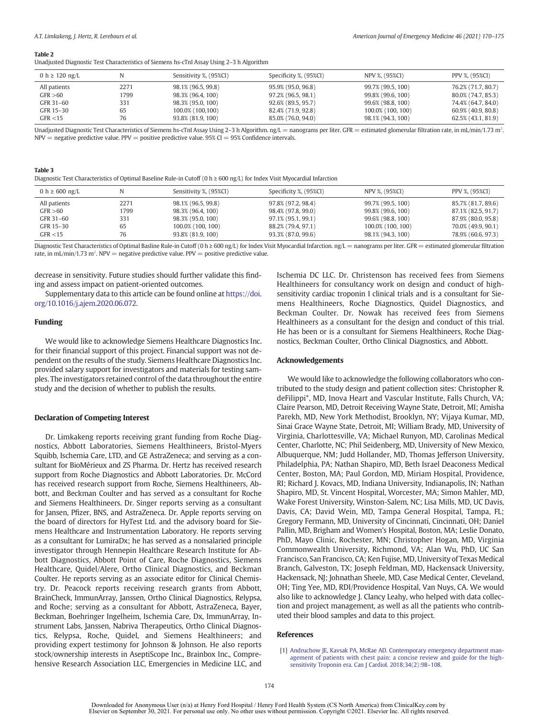#### <span id="page-6-0"></span>Table 2

Unadjusted Diagnostic Test Characteristics of Siemens hs-cTnI Assay Using 2–3 h Algorithm

| 0 h $\geq$ 120 ng/L |      | Sensitivity %, (95%CI) | Specificity %, (95%CI) | NPV %, (95%CI)    | PPV %, (95%CI)     |
|---------------------|------|------------------------|------------------------|-------------------|--------------------|
| All patients        | 2271 | 98.1% (96.5, 99.8)     | 95.9% (95.0, 96.8)     | 99.7% (99.5, 100) | 76.2% (71.7, 80.7) |
| GFR > 60            | 1799 | 98.3% (96.4, 100)      | 97.2% (96.5, 98.1)     | 99.8% (99.6, 100) | 80.0% (74.7, 85.3) |
| GFR 31-60           | 331  | 98.3% (95.0, 100)      | 92.6% (89.5, 95.7)     | 99.6% (98.8, 100) | 74.4% (64.7, 84.0) |
| GFR 15-30           | 65   | 100.0% (100,100)       | 82.4% (71.9, 92.8)     | 100.0% (100, 100) | 60.9% (40.9, 80.8) |
| GFR < 15            | 76   | 93.8% (81.9, 100)      | 85.0% (76.0, 94.0)     | 98.1% (94.3, 100) | 62.5% (43.1, 81.9) |

Unadjusted Diagnostic Test Characteristics of Siemens hs-cTnI Assay Using 2-3 h Algorithm. ng/L = nanograms per liter. GFR = estimated glomerular filtration rate, in mL/min/1.73 m<sup>2</sup>.  $NPV = negative$  predictive value. PPV = positive predictive value. 95% CI = 95% Confidence intervals.

#### Table 3

Diagnostic Test Characteristics of Optimal Baseline Rule-in Cutoff (0 h ≥ 600 ng/L) for Index Visit Myocardial Infarction

| 0 h $\geq$ 600 ng/L |      | Sensitivity %, (95%CI) | Specificity %, (95%CI) | NPV %, (95%CI)    | PPV %, (95%CI)     |
|---------------------|------|------------------------|------------------------|-------------------|--------------------|
| All patients        | 2271 | 98.1% (96.5, 99.8)     | 97.8% (97.2, 98.4)     | 99.7% (99.5, 100) | 85.7% (81.7, 89.6) |
| GFR > 60            | 1799 | 98.3% (96.4, 100)      | 98.4% (97.8, 99.0)     | 99.8% (99.6, 100) | 87.1% (82.5, 91.7) |
| GFR 31-60           | 331  | 98.3% (95.0, 100)      | 97.1% (95.1, 99.1)     | 99.6% (98.8, 100) | 87.9% (80.0, 95.8) |
| GFR 15-30           | 65   | 100.0% (100, 100)      | 88.2% (79.4, 97.1)     | 100.0% (100, 100) | 70.0% (49.9, 90.1) |
| GFR < 15            | 76   | 93.8% (81.9, 100)      | 93.3% (87.0, 99.6)     | 98.1% (94.3, 100) | 78.9% (60.6, 97.3) |

Diagnostic Test Characteristics of Optimal Basline Rule-in Cutoff (0 h ≥ 600 ng/L) for Index Visit Myocardial Infarction. ng/L = nanograms per liter. GFR = estimated glomerular filtration rate, in mL/min/1.73 m<sup>2</sup>. NPV = negative predictive value. PPV = positive predictive value.

decrease in sensitivity. Future studies should further validate this finding and assess impact on patient-oriented outcomes.

Supplementary data to this article can be found online at [https://doi.](https://doi.org/10.1016/j.ajem.2020.06.072) [org/10.1016/j.ajem.2020.06.072.](https://doi.org/10.1016/j.ajem.2020.06.072)

#### Funding

We would like to acknowledge Siemens Healthcare Diagnostics Inc. for their financial support of this project. Financial support was not dependent on the results of the study. Siemens Healthcare Diagnostics Inc. provided salary support for investigators and materials for testing samples. The investigators retained control of the data throughout the entire study and the decision of whether to publish the results.

#### Declaration of Competing Interest

Dr. Limkakeng reports receiving grant funding from Roche Diagnostics, Abbott Laboratories, Siemens Healthineers, Bristol-Myers Squibb, Ischemia Care, LTD, and GE AstraZeneca; and serving as a consultant for BioMérieux and ZS Pharma. Dr. Hertz has received research support from Roche Diagnostics and Abbott Laboratories. Dr. McCord has received research support from Roche, Siemens Healthineers, Abbott, and Beckman Coulter and has served as a consultant for Roche and Siemens Healthineers. Dr. Singer reports serving as a consultant for Jansen, Pfizer, BNS, and AstraZeneca. Dr. Apple reports serving on the board of directors for HyTest Ltd. and the advisory board for Siemens Healthcare and Instrumentation Laboratory. He reports serving as a consultant for LumiraDx; he has served as a nonsalaried principle investigator through Hennepin Healthcare Research Institute for Abbott Diagnostics, Abbott Point of Care, Roche Diagnostics, Siemens Healthcare, Quidel/Alere, Ortho Clinical Diagnostics, and Beckman Coulter. He reports serving as an associate editor for Clinical Chemistry. Dr. Peacock reports receiving research grants from Abbott, BrainCheck, ImmunArray, Janssen, Ortho Clinical Diagnostics, Relypsa, and Roche; serving as a consultant for Abbott, AstraZeneca, Bayer, Beckman, Boehringer Ingelheim, Ischemia Care, Dx, ImmunArray, Instrument Labs, Janssen, Nabriva Therapeutics, Ortho Clinical Diagnostics, Relypsa, Roche, Quidel, and Siemens Healthineers; and providing expert testimony for Johnson & Johnson. He also reports stock/ownership interests in AseptiScope Inc., Brainbox Inc., Comprehensive Research Association LLC, Emergencies in Medicine LLC, and Ischemia DC LLC. Dr. Christenson has received fees from Siemens Healthineers for consultancy work on design and conduct of highsensitivity cardiac troponin I clinical trials and is a consultant for Siemens Healthineers, Roche Diagnostics, Quidel Diagnostics, and Beckman Coulter. Dr. Nowak has received fees from Siemens Healthineers as a consultant for the design and conduct of this trial. He has been or is a consultant for Siemens Healthineers, Roche Diagnostics, Beckman Coulter, Ortho Clinical Diagnostics, and Abbott.

#### Acknowledgements

We would like to acknowledge the following collaborators who contributed to the study design and patient collection sites: Christopher R. deFilippi\*, MD, Inova Heart and Vascular Institute, Falls Church, VA; Claire Pearson, MD, Detroit Receiving Wayne State, Detroit, MI; Amisha Parekh, MD, New York Methodist, Brooklyn, NY; Vijaya Kumar, MD, Sinai Grace Wayne State, Detroit, MI; William Brady, MD, University of Virginia, Charlottesville, VA; Michael Runyon, MD, Carolinas Medical Center, Charlotte, NC; Phil Seidenberg, MD, University of New Mexico, Albuquerque, NM; Judd Hollander, MD, Thomas Jefferson University, Philadelphia, PA; Nathan Shapiro, MD, Beth Israel Deaconess Medical Center, Boston, MA; Paul Gordon, MD, Miriam Hospital, Providence, RI; Richard J. Kovacs, MD, Indiana University, Indianapolis, IN; Nathan Shapiro, MD, St. Vincent Hospital, Worcester, MA; Simon Mahler, MD, Wake Forest University, Winston-Salem, NC; Lisa Mills, MD, UC Davis, Davis, CA; David Wein, MD, Tampa General Hospital, Tampa, FL; Gregory Fermann, MD, University of Cincinnati, Cincinnati, OH; Daniel Pallin, MD, Brigham and Women's Hospital, Boston, MA; Leslie Donato, PhD, Mayo Clinic, Rochester, MN; Christopher Hogan, MD, Virginia Commonwealth University, Richmond, VA; Alan Wu, PhD, UC San Francisco, San Francisco, CA; Ken Fujise, MD, University of Texas Medical Branch, Galveston, TX; Joseph Feldman, MD, Hackensack University, Hackensack, NJ; Johnathan Sheele, MD, Case Medical Center, Cleveland, OH; Ting Yee, MD, RDI/Providence Hospital, Van Nuys, CA. We would also like to acknowledge J. Clancy Leahy, who helped with data collection and project management, as well as all the patients who contributed their blood samples and data to this project.

#### References

[1] [Andruchow JE, Kavsak PA, McRae AD. Contemporary emergency department man](http://refhub.elsevier.com/S0735-6757(20)30562-3/rf0005)[agement of patients with chest pain: a concise review and guide for the high](http://refhub.elsevier.com/S0735-6757(20)30562-3/rf0005)[sensitivity Troponin era. Can J Cardiol. 2018;34\(2\):98](http://refhub.elsevier.com/S0735-6757(20)30562-3/rf0005)-108.

Downloaded for Anonymous User (n/a) at Henry Ford Hospital / Henry Ford Health System (CS North America) from ClinicalKey.com by Elsevier on September 30, 2021. For personal use only. No other uses without permission. Copyright ©2021. Elsevier Inc. All rights reserved.